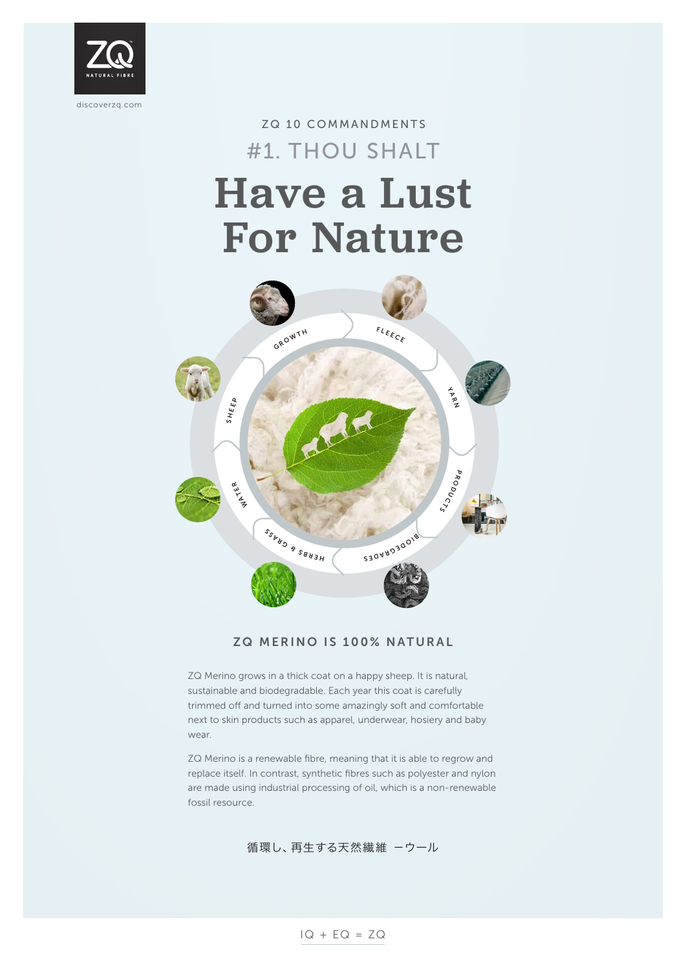

# ZQ 10 COMMANDMENTS Have a Lust For Nature #1. THOU SHALT



### ZQ MERINO IS 100% NATURAL

ZQ Merino grows in a thick coat on a happy sheep. It is natural, sustainable and biodegradable. Each year this coat is carefully trimmed off and turned into some amazingly soft and comfortable next to skin products such as apparel, underwear, hosiery and baby

wear.

ZQ Merino is a renewable fibre, meaning that it is able to regrow and replace itself. In contrast, synthetic fibres such as polyester and nylon are made using industrial processing of oil, which is a non-renewable fossil resource.

### 循環し、再生する天然繊維 -ウール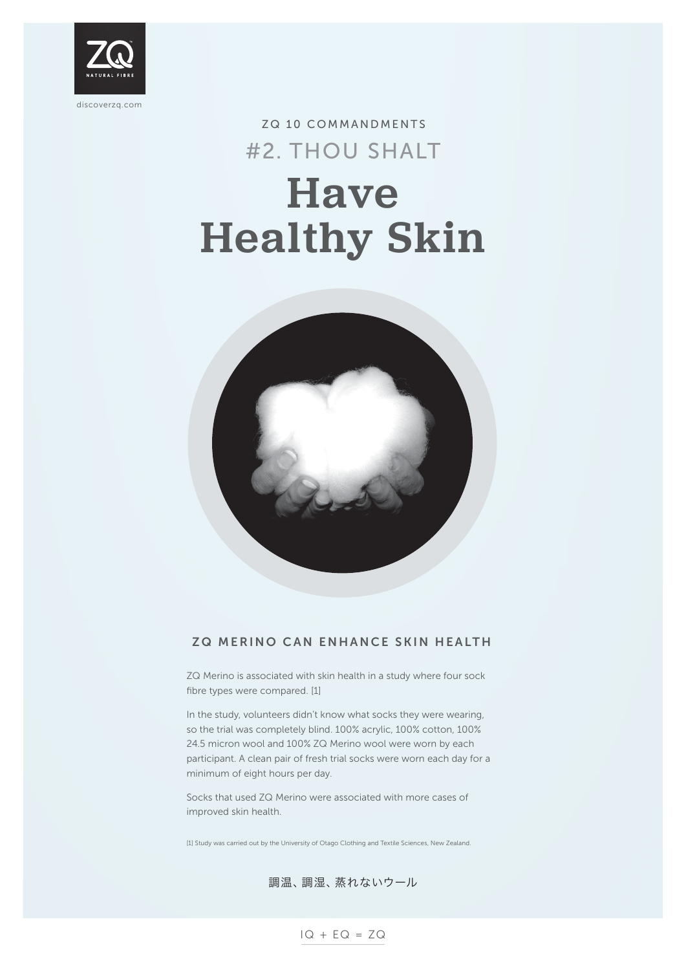

### ZQ MERINO CAN ENHANCE SKIN HEALTH

ZQ Merino is associated with skin health in a study where four sock fibre types were compared. [1]

In the study, volunteers didn't know what socks they were wearing, so the trial was completely blind. 100% acrylic, 100% cotton, 100%

# ZQ 10 COMMANDMENTS Have Healthy Skin #2. THOU SHALT



24.5 micron wool and 100% ZQ Merino wool were worn by each participant. A clean pair of fresh trial socks were worn each day for a minimum of eight hours per day.

Socks that used ZQ Merino were associated with more cases of improved skin health.

[1] Study was carried out by the University of Otago Clothing and Textile Sciences, New Zealand.

#### 調温、調湿、蒸れないウール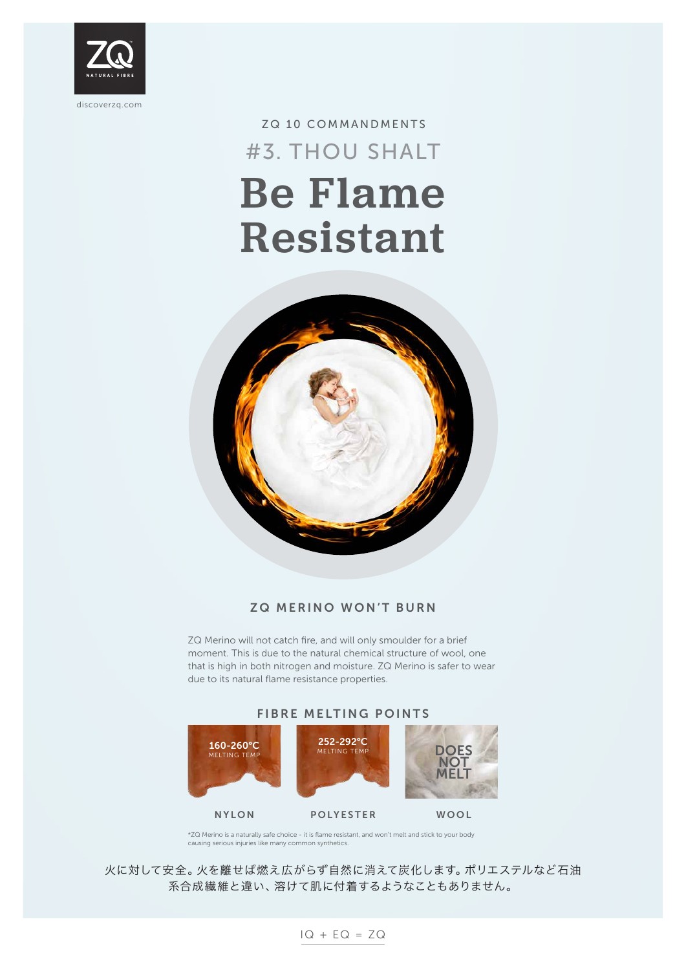

# ZQ 10 COMMANDMENTS Be Flame Resistant #3. THOU SHALT



## ZQ MERINO WON'T BURN

ZQ Merino will not catch fire, and will only smoulder for a brief moment. This is due to the natural chemical structure of wool, one that is high in both nitrogen and moisture. ZQ Merino is safer to wear due to its natural flame resistance properties.

### FIBRE MELTING POINTS

\*ZQ Merino is a naturally safe choice - it is flame resistant, and won't melt and stick to your body causing serious injuries like many common synthetics.

NYLON POLYESTER WOOL



### 火に対して安全。火を離せば燃え広がらず自然に消えて炭化します。ポリエステルなど石油 系合成繊維と違い、溶けて肌に付着するようなこともありません。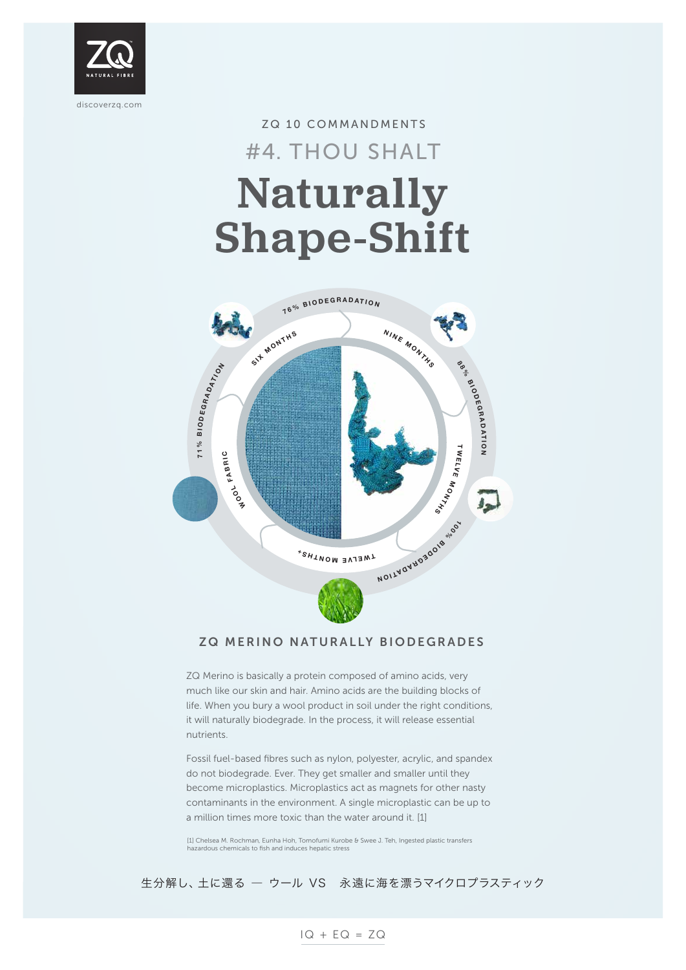

# ZQ 10 COMMANDMENTS Naturally Shape-Shift #4. THOU SHALT

### ZQ MERINO NATURALLY BIODEGRADES

ZQ Merino is basically a protein composed of amino acids, very much like our skin and hair. Amino acids are the building blocks of life. When you bury a wool product in soil under the right conditions, it will naturally biodegrade. In the process, it will release essential

nutrients.

Fossil fuel-based fibres such as nylon, polyester, acrylic, and spandex do not biodegrade. Ever. They get smaller and smaller until they become microplastics. Microplastics act as magnets for other nasty contaminants in the environment. A single microplastic can be up to a million times more toxic than the water around it. [1]

[1] Chelsea M. Rochman, Eunha Hoh, Tomofumi Kurobe & Swee J. Teh, Ingested plastic transfers hazardous chemicals to fish and induces hepatic stress



#### 生分解し、土に還る ― ウール VS 永遠に海を漂うマイクロプラスティック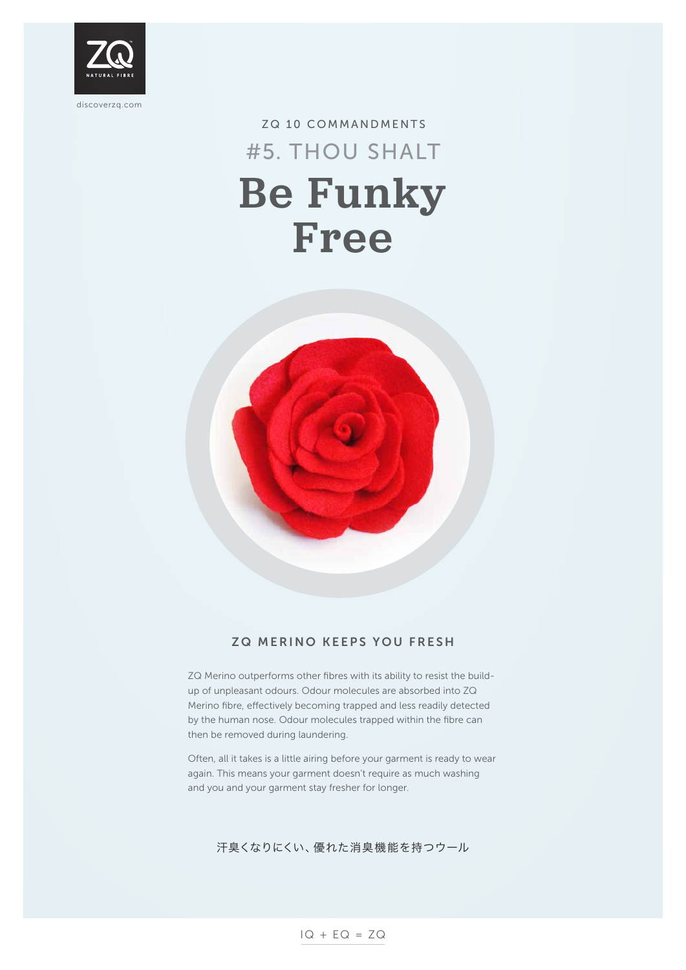

## ZQ 10 COMMANDMENTS Be Funky Free #5. THOU SHALT



### ZQ MERINO KEEPS YOU FRESH

ZQ Merino outperforms other fibres with its ability to resist the buildup of unpleasant odours. Odour molecules are absorbed into ZQ Merino fibre, effectively becoming trapped and less readily detected by the human nose. Odour molecules trapped within the fibre can

then be removed during laundering.

Often, all it takes is a little airing before your garment is ready to wear again. This means your garment doesn't require as much washing and you and your garment stay fresher for longer.

#### 汗臭くなりにくい、優れた消臭機能を持つウール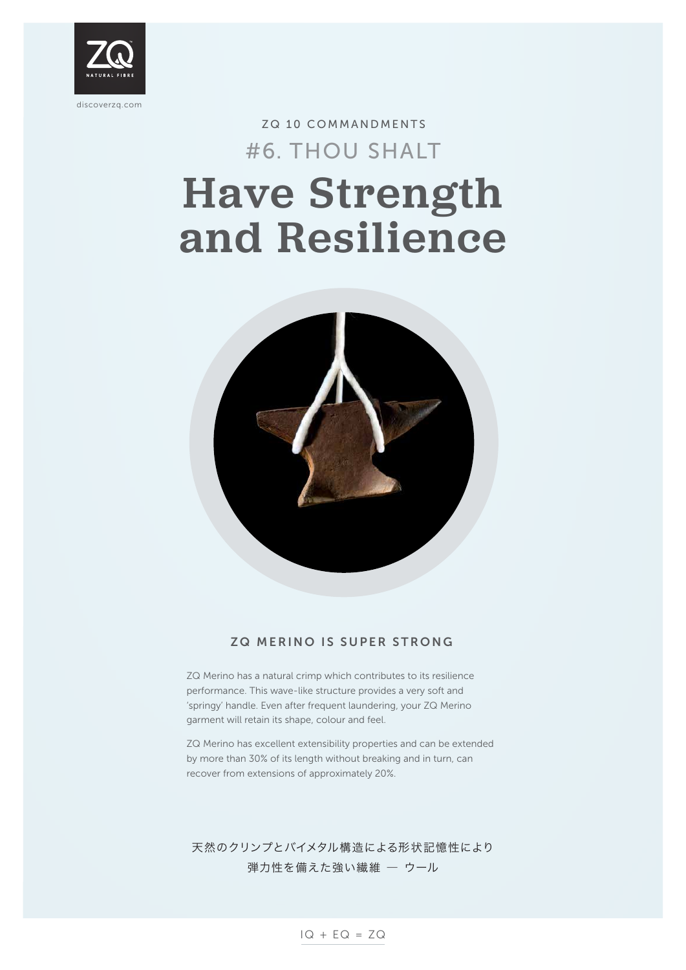

$$
IQ + EQ = ZQ
$$

# ZQ 10 COMMANDMENTS Have Strength and Resilience #6. THOU SHALT



### ZQ MERINO IS SUPER STRONG

ZQ Merino has a natural crimp which contributes to its resilience performance. This wave-like structure provides a very soft and 'springy' handle. Even after frequent laundering, your ZQ Merino garment will retain its shape, colour and feel.

ZQ Merino has excellent extensibility properties and can be extended by more than 30% of its length without breaking and in turn, can recover from extensions of approximately 20%.

## 天然のクリンプとバイメタル構造による形状記憶性により 弾力性を備えた強い繊維 ― ウール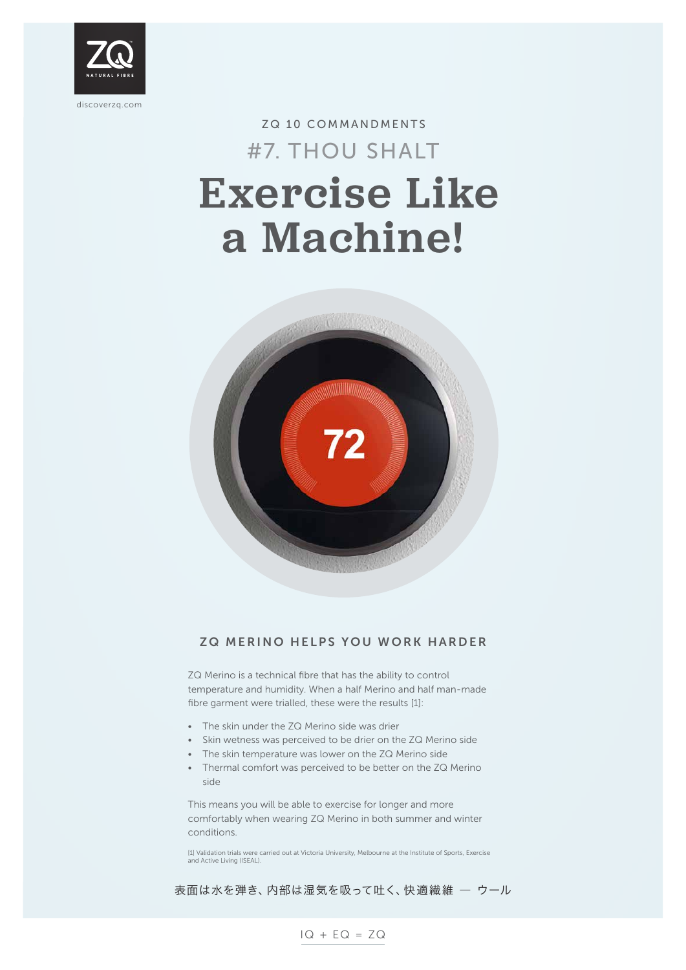

# ZQ 10 COMMANDMENTS Exercise Like a Machine! #7. THOU SHALT



## ZQ MERINO HELPS YOU WORK HARDER

ZQ Merino is a technical fibre that has the ability to control temperature and humidity. When a half Merino and half man-made fibre garment were trialled, these were the results [1]:

- The skin under the ZQ Merino side was drier
- Skin wetness was perceived to be drier on the ZQ Merino side
- The skin temperature was lower on the ZQ Merino side
- Thermal comfort was perceived to be better on the ZQ Merino side

This means you will be able to exercise for longer and more comfortably when wearing ZQ Merino in both summer and winter conditions.

[1] Validation trials were carried out at Victoria University, Melbourne at the Institute of Sports, Exercise and Active Living (ISEAL).

#### 表面は水を弾き、内部は湿気を吸って吐く、快適繊維 ― ウール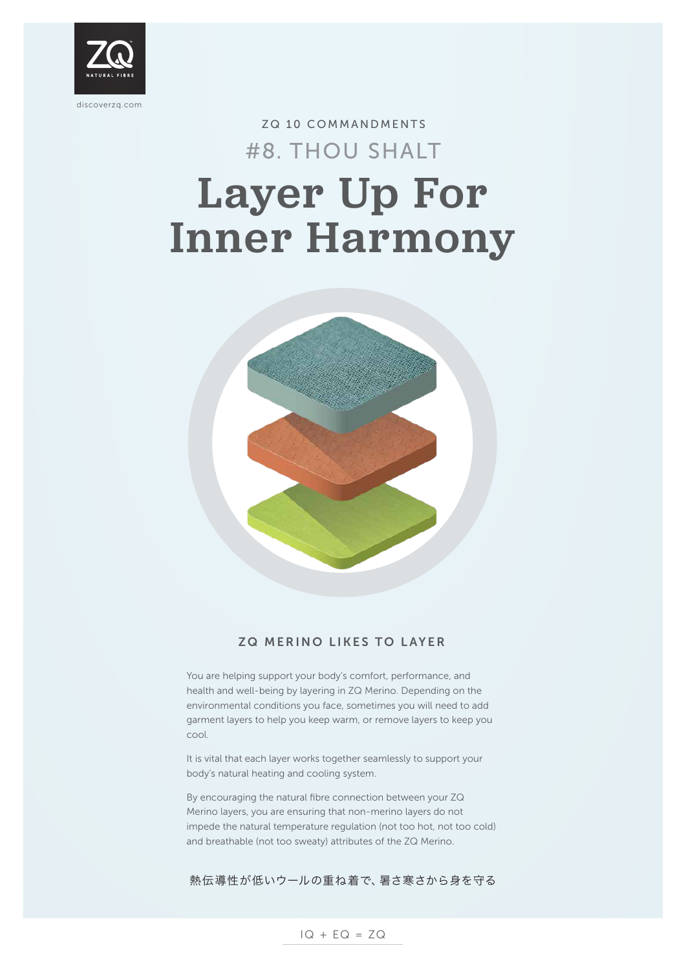

$$
IQ + EQ = ZQ
$$

# ZQ 10 COMMANDMENTS Layer Up For Inner Harmony #8. THOU SHALT



## ZQ MERINO LIKES TO LAYER

You are helping support your body's comfort, performance, and health and well-being by layering in ZQ Merino. Depending on the environmental conditions you face, sometimes you will need to add garment layers to help you keep warm, or remove layers to keep you

cool.

It is vital that each layer works together seamlessly to support your body's natural heating and cooling system.

By encouraging the natural fibre connection between your ZQ Merino layers, you are ensuring that non-merino layers do not impede the natural temperature regulation (not too hot, not too cold) and breathable (not too sweaty) attributes of the ZQ Merino.

#### 熱伝導性が低いウールの重ね着で、暑さ寒さから身を守る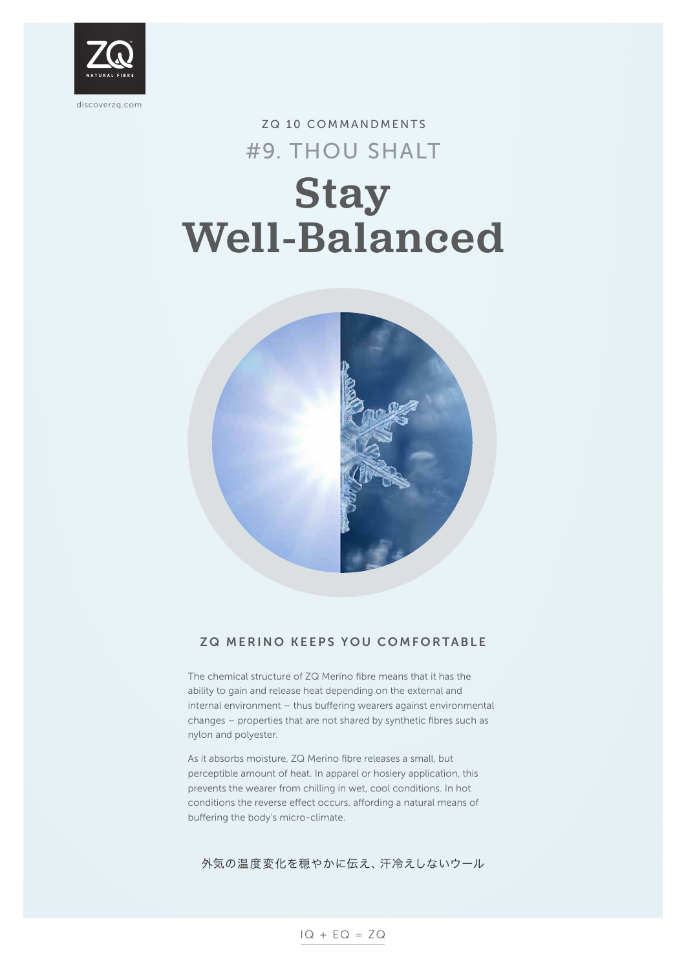

# ZQ 10 COMMANDMENTS Stay Well-Balanced #9. THOU SHALT



### ZQ MERINO KEEPS YOU COMFORTABLE

The chemical structure of ZQ Merino fibre means that it has the ability to gain and release heat depending on the external and internal environment – thus buffering wearers against environmental changes – properties that are not shared by synthetic fibres such as

nylon and polyester.

As it absorbs moisture, ZQ Merino fibre releases a small, but perceptible amount of heat. In apparel or hosiery application, this prevents the wearer from chilling in wet, cool conditions. In hot conditions the reverse effect occurs, affording a natural means of buffering the body's micro-climate.

#### 外気の温度変化を穏やかに伝え、汗冷えしないウール